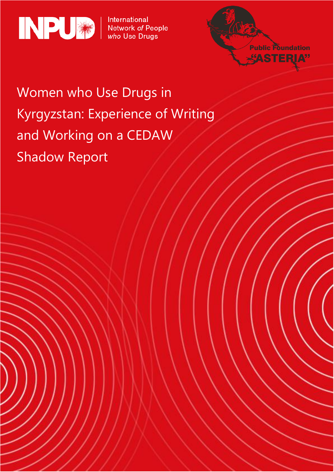



# Women who Use Drugs in Kyrgyzstan: Experience of Writing and Working on a CEDAW Shadow Report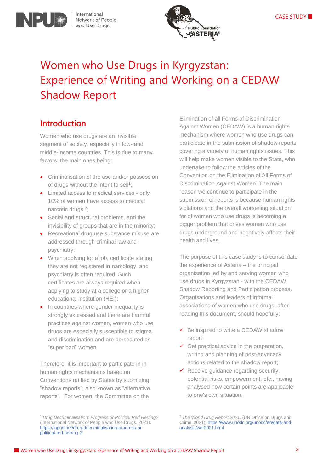

## Women who Use Drugs in Kyrgyzstan: Experience of Writing and Working on a CEDAW Shadow Report

### Introduction

INPUW

Women who use drugs are an invisible segment of society, especially in low- and middle-income countries. This is due to many factors, the main ones being:

- Criminalisation of the use and/or possession of drugs without the intent to sell<sup>1</sup>;
- Limited access to medical services only 10% of women have access to medical narcotic drugs<sup>2</sup>;
- Social and structural problems, and the invisibility of groups that are in the minority;
- Recreational drug use substance misuse are addressed through criminal law and psychiatry.
- When applying for a job, certificate stating they are not registered in narcology, and psychiatry is often required. Such certificates are always required when applying to study at a college or a higher educational institution (HEI);
- In countries where gender inequality is strongly expressed and there are harmful practices against women, women who use drugs are especially susceptible to stigma and discrimination and are persecuted as "super bad" women.

Therefore, it is important to participate in in human rights mechanisms based on Conventions ratified by States by submitting "shadow reports", also known as "alternative reports". For women, the Committee on the

Elimination of all Forms of Discrimination Against Women (CEDAW) is a human rights mechanism where women who use drugs can participate in the submission of shadow reports covering a variety of human rights issues. This will help make women visible to the State, who undertake to follow the articles of the Convention on the Elimination of All Forms of Discrimination Against Women. The main reason we continue to participate in the submission of reports is because human rights violations and the overall worsening situation for of women who use drugs is becoming a bigger problem that drives women who use drugs underground and negatively affects their health and lives.

The purpose of this case study is to consolidate the experience of Asteria – the principal organisation led by and serving women who use drugs in Kyrgyzstan - with the CEDAW Shadow Reporting and Participation process. Organisations and leaders of informal associations of women who use drugs, after reading this document, should hopefully:

- $\checkmark$  Be inspired to write a CEDAW shadow report;
- $\checkmark$  Get practical advice in the preparation, writing and planning of post-advocacy actions related to the shadow report;
- ✓ Receive guidance regarding security, potential risks, empowerment, etc., having analysed how certain points are applicable to one's own situation.

<sup>2</sup> *The World Drug Report 2021*. (UN Office on Drugs and Crime, 2021). https://www.unodc.org/unodc/en/data-andanalysis/wdr2021.html

<sup>1</sup> *Drug Decriminalisation: Progress or Political Red Herring?* (International Network of People who Use Drugs, 2021). https://inpud.net/drug-decriminalisation-progress-orpolitical-red-herring-2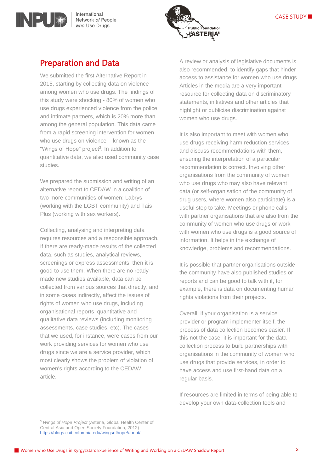

### Preparation and Data

INPU

We submitted the first Alternative Report in 2015, starting by collecting data on violence among women who use drugs. The findings of this study were shocking - 80% of women who use drugs experienced violence from the police and intimate partners, which is 20% more than among the general population. This data came from a rapid screening intervention for women who use drugs on violence – known as the "Wings of Hope" project<sup>3</sup>. In addition to quantitative data, we also used community case studies.

We prepared the submission and writing of an alternative report to CEDAW in a coalition of two more communities of women: Labrys (working with the LGBT community) and Tais Plus (working with sex workers).

Collecting, analysing and interpreting data requires resources and a responsible approach. If there are ready-made results of the collected data, such as studies, analytical reviews, screenings or express assessments, then it is good to use them. When there are no readymade new studies available, data can be collected from various sources that directly, and in some cases indirectly, affect the issues of rights of women who use drugs, including organisational reports, quantitative and qualitative data reviews (including monitoring assessments, case studies, etc). The cases that we used, for instance, were cases from our work providing services for women who use drugs since we are a service provider, which most clearly shows the problem of violation of women's rights according to the CEDAW article.

A review or analysis of legislative documents is also recommended, to identify gaps that hinder access to assistance for women who use drugs. Articles in the media are a very important resource for collecting data on discriminatory statements, initiatives and other articles that highlight or publicise discrimination against women who use drugs.

It is also important to meet with women who use drugs receiving harm reduction services and discuss recommendations with them, ensuring the interpretation of a particular recommendation is correct. Involving other organisations from the community of women who use drugs who may also have relevant data (or self-organisation of the community of drug users, where women also participate) is a useful step to take. Meetings or phone calls with partner organisations that are also from the community of women who use drugs or work with women who use drugs is a good source of information. It helps in the exchange of knowledge, problems and recommendations.

It is possible that partner organisations outside the community have also published studies or reports and can be good to talk with if, for example, there is data on documenting human rights violations from their projects.

Overall, if your organisation is a service provider or program implementer itself, the process of data collection becomes easier. If this not the case, it is important for the data collection process to build partnerships with organisations in the community of women who use drugs that provide services, in order to have access and use first-hand data on a regular basis.

If resources are limited in terms of being able to develop your own data-collection tools and

<sup>3</sup> *Wings of Hope Project* (Asteria, Global Health Center of Central Asia and Open Society Foundation, 2012) <https://blogs.cuit.columbia.edu/wingsofhope/about/>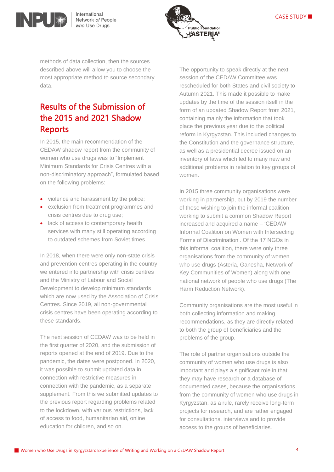



methods of data collection, then the sources described above will allow you to choose the most appropriate method to source secondary data.

### Results of the Submission of the 2015 and 2021 Shadow **Reports**

In 2015, the main recommendation of the CEDAW shadow report from the community of women who use drugs was to "Implement Minimum Standards for Crisis Centres with a non-discriminatory approach", formulated based on the following problems:

- violence and harassment by the police;
- exclusion from treatment programmes and crisis centres due to drug use;
- lack of access to contemporary health services with many still operating according to outdated schemes from Soviet times.

In 2018, when there were only non-state crisis and prevention centres operating in the country, we entered into partnership with crisis centres and the Ministry of Labour and Social Development to develop minimum standards which are now used by the Association of Crisis Centres. Since 2019, all non-governmental crisis centres have been operating according to these standards.

The next session of CEDAW was to be held in the first quarter of 2020, and the submission of reports opened at the end of 2019. Due to the pandemic, the dates were postponed. In 2020, it was possible to submit updated data in connection with restrictive measures in connection with the pandemic, as a separate supplement. From this we submitted updates to the previous report regarding problems related to the lockdown, with various restrictions, lack of access to food, humanitarian aid, online education for children, and so on.

The opportunity to speak directly at the next session of the CEDAW Committee was rescheduled for both States and civil society to Autumn 2021. This made it possible to make updates by the time of the session itself in the form of an updated Shadow Report from 2021, containing mainly the information that took place the previous year due to the political reform in Kyrgyzstan. This included changes to the Constitution and the governance structure, as well as a presidential decree issued on an inventory of laws which led to many new and additional problems in relation to key groups of women.

In 2015 three community organisations were working in partnership, but by 2019 the number of those wishing to join the informal coalition working to submit a common Shadow Report increased and acquired a name – 'CEDAW Informal Coalition on Women with Intersecting Forms of Discrimination'. Of the 17 NGOs in this informal coalition, there were only three organisations from the community of women who use drugs (Asteria, Ganesha, Network of Key Communities of Women) along with one national network of people who use drugs (The Harm Reduction Network).

Community organisations are the most useful in both collecting information and making recommendations, as they are directly related to both the group of beneficiaries and the problems of the group.

The role of partner organisations outside the community of women who use drugs is also important and plays a significant role in that they may have research or a database of documented cases, because the organisations from the community of women who use drugs in Kyrgyzstan, as a rule, rarely receive long-term projects for research, and are rather engaged for consultations, interviews and to provide access to the groups of beneficiaries.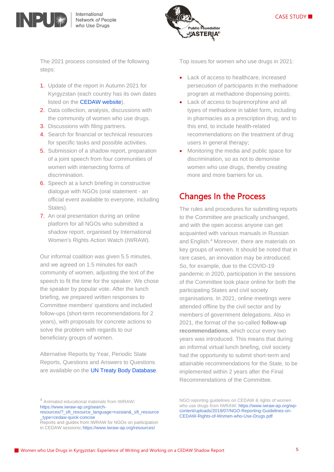



The 2021 process consisted of the following steps:

- 1. Update of the report in Autumn 2021 for Kyrgyzstan (each country has its own dates listed on the [CEDAW website\)](https://www.ohchr.org/en/treaty-bodies/cedaw).
- 2. Data collection, analysis, discussions with the community of women who use drugs.
- 3. Discussions with filing partners.
- 4. Search for financial or technical resources for specific tasks and possible activities.
- 5. Submission of a shadow report, preparation of a joint speech from four communities of women with intersecting forms of discrimination.
- 6. Speech at a lunch briefing in constructive dialogue with NGOs (oral statement - an official event available to everyone, including States).
- 7. An oral presentation during an online platform for all NGOs who submitted a shadow report, organised by International Women's Rights Action Watch (IWRAW).

Our informal coalition was given 5.5 minutes, and we agreed on 1.5 minutes for each community of women, adjusting the text of the speech to fit the time for the speaker. We chose the speaker by popular vote. After the lunch briefing, we prepared written responses to Committee members' questions and included follow-ups (short-term recommendations for 2 years), with proposals for concrete actions to solve the problem with regards to our beneficiary groups of women.

Alternative Reports by Year, Periodic State Reports, Questions and Answers to Questions are available on the [UN Treaty Body Database.](https://tbinternet.ohchr.org/SitePages/Home.aspx) Top issues for women who use drugs in 2021:

- Lack of access to healthcare, increased persecution of participants in the methadone program at methadone dispensing points;
- Lack of access to buprenorphine and all types of methadone in tablet form, including in pharmacies as a prescription drug, and to this end, to include health-related recommendations on the treatment of drug users in general therapy;
- Monitoring the media and public space for discrimination, so as not to demonise women who use drugs, thereby creating more and more barriers for us.

### Changes In the Process

The rules and procedures for submitting reports to the Committee are practically unchanged, and with the open access anyone can get acquainted with various manuals in Russian and English. <sup>4</sup> Moreover, there are materials on key groups of women. It should be noted that in rare cases, an innovation may be introduced. So, for example, due to the COVID-19 pandemic in 2020, participation in the sessions of the Committee took place online for both the participating States and civil society organisations. In 2021, online meetings were attended offline by the civil sector and by members of government delegations. Also in 2021, the format of the so-called **follow-up recommendations**, which occur every two years was introduced. This means that during an informal virtual lunch briefing, civil society had the opportunity to submit short-term and attainable recommendations for the State, to be implemented within 2 years after the Final Recommendations of the Committee.

<sup>4</sup> Animated educational materials from IWRAW: [https://www.iwraw-ap.org/search-](about:blank) NGO reporting guidelines on CEDAW & rights of women who use drugs from IWRAW: [https://www.iwraw-ap.org/wp](https://www.iwraw-ap.org/wp-content/uploads/2018/07/NGO-Reporting-Guidelines-on-CEDAW-Rights-of-Women-who-Use-Drugs.pdf)[content/uploads/2018/07/NGO-Reporting-Guidelines-on-](https://www.iwraw-ap.org/wp-content/uploads/2018/07/NGO-Reporting-Guidelines-on-CEDAW-Rights-of-Women-who-Use-Drugs.pdf)[CEDAW-Rights-of-Women-who-Use-Drugs.pdf](https://www.iwraw-ap.org/wp-content/uploads/2018/07/NGO-Reporting-Guidelines-on-CEDAW-Rights-of-Women-who-Use-Drugs.pdf)

[resources/?\\_sft\\_resource\\_language=russian&\\_sft\\_resource](about:blank) [\\_type=cedaw-quick-concise](about:blank)

Reports and guides from IWRAW for NGOs on participation in CEDAW sessions[: https://www.iwraw-ap.org/resources/](about:blank)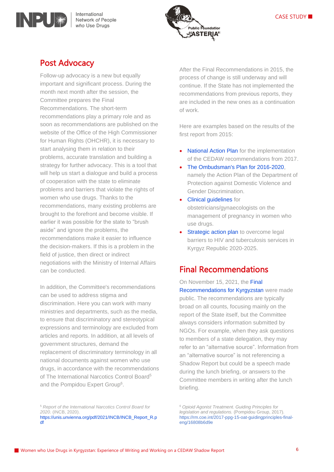





### Post Advocacy

Follow-up advocacy is a new but equally important and significant process. During the month next month after the session, the Committee prepares the Final Recommendations. The short-term recommendations play a primary role and as soon as recommendations are published on the website of the Office of the High Commissioner for Human Rights (OHCHR), it is necessary to start analysing them in relation to their problems, accurate translation and building a strategy for further advocacy. This is a tool that will help us start a dialogue and build a process of cooperation with the state to eliminate problems and barriers that violate the rights of women who use drugs. Thanks to the recommendations, many existing problems are brought to the forefront and become visible. If earlier it was possible for the state to "brush aside" and ignore the problems, the recommendations make it easier to influence the decision-makers. If this is a problem in the field of justice, then direct or indirect negotiations with the Ministry of Internal Affairs can be conducted.

In addition, the Committee's recommendations can be used to address stigma and discrimination. Here you can work with many ministries and departments, such as the media, to ensure that discriminatory and stereotypical expressions and terminology are excluded from articles and reports. In addition, at all levels of government structures, demand the replacement of discriminatory terminology in all national documents against women who use drugs, in accordance with the recommendations of The International Narcotics Control Board<sup>5</sup> and the Pompidou Expert Group<sup>6</sup>.

After the Final Recommendations in 2015, the process of change is still underway and will continue. If the State has not implemented the recommendations from previous reports, they are included in the new ones as a continuation of work.

Here are examples based on the results of the first report from 2015:

- [National Action Plan](http://cbd.minjust.gov.kg/act/view/ru-ru/216062?cl=ru-ru) for the implementation of the CEDAW recommendations from 2017.
- The Ombudsman's Plan for 2016-2020. namely the Action Plan of the Department of Protection against Domestic Violence and Gender Discrimination.
- **[Clinical guidelines](https://afew.org/ru/novosti/btg-guideline-kz-ru/) for** obstetricians/gynaecologists on the management of pregnancy in women who use drugs.
- **[Strategic action plan](https://www.theglobalfund.org/media/10928/crg_humanrightskyrgyzstan2020-2025_plan_ru.pdf) to overcome legal** barriers to HIV and tuberculosis services in Kyrgyz Republic 2020-2025.

### Final Recommendations

On November 15, 2021, the [Final](https://tbinternet.ohchr.org/_layouts/15/treatybodyexternal/Download.aspx?symbolno=CEDAW%2fC%2fKGZ%2fCO%2f5&Lang=en)  [Recommendations for Kyrgyzstan](https://tbinternet.ohchr.org/_layouts/15/treatybodyexternal/Download.aspx?symbolno=CEDAW%2fC%2fKGZ%2fCO%2f5&Lang=en) were made public. The recommendations are typically broad on all counts, focusing mainly on the report of the State itself, but the Committee always considers information submitted by NGOs. For example, when they ask questions to members of a state delegation, they may refer to an "alternative source". Information from an "alternative source" is not referencing a Shadow Report but could be a speech made during the lunch briefing, or answers to the Committee members in writing after the lunch briefing.

<sup>6</sup> *Opioid Agonist Treatment. Guiding Principles for legislation and regulations.* (Pompidou Group, 2017). https://rm.coe.int/2017-ppg-15-oat-guidingprinciples-finaleng/16808b6d9e

<sup>5</sup> *Report of the International Narcotics Control Board for 2020*. (INCB, 2020). [https://unis.unvienna.org/pdf/2021/INCB/INCB\\_Report\\_R.p](https://unis.unvienna.org/pdf/2021/INCB/INCB_Report_R.pdf) [df](https://unis.unvienna.org/pdf/2021/INCB/INCB_Report_R.pdf)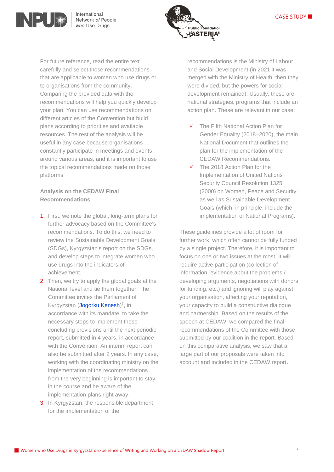



For future reference, read the entire text carefully and select those recommendations that are applicable to women who use drugs or to organisations from the community. Comparing the provided data with the recommendations will help you quickly develop your plan. You can use recommendations on different articles of the Convention but build plans according to priorities and available resources. The rest of the analysis will be useful in any case because organisations constantly participate in meetings and events around various areas, and it is important to use the topical recommendations made on those platforms.

#### **Analysis on the CEDAW Final Recommendations**

- 1. First, we note the global, long-term plans for further advocacy based on the Committee's recommendations. To do this, we need to review the Sustainable Development Goals (SDGs), Kyrgyzstan's report on the SDGs, and develop steps to integrate women who use drugs into the indicators of achievement.
- 2. Then, we try to apply the global goals at the National level and tie them together. The Committee invites the Parliament of Kyrgyzstan [\(Jogorku Kenesh\)](http://kenesh.kg/ru)<sup>7</sup>, in accordance with its mandate, to take the necessary steps to implement these concluding provisions until the next periodic report, submitted in 4 years, in accordance with the Convention. An interim report can also be submitted after 2 years. In any case, working with the coordinating ministry on the implementation of the recommendations from the very beginning is important to stay in the course and be aware of the implementation plans right away.
- 3. In Kyrgyzstan, the responsible department for the implementation of the

recommendations is the Ministry of Labour and Social Development (in 2021 it was merged with the Ministry of Health, then they were divided, but the powers for social development remained). Usually, these are national strategies, programs that include an action plan. These are relevant in our case:

- ✓ The Fifth National Action Plan for Gender Equality (2018–2020), the main National Document that outlines the plan for the implementation of the CEDAW Recommendations.
- ✓ The 2018 Action Plan for the Implementation of United Nations Security Council Resolution 1325 (2000) on Women, Peace and Security; as well as Sustainable Development Goals (which, in principle, include the implementation of National Programs).

These guidelines provide a lot of room for further work, which often cannot be fully funded by a single project. Therefore, it is important to focus on one or two issues at the most. It will require active participation (collection of information, evidence about the problems / developing arguments, negotiations with donors for funding, etc.) and ignoring will play against your organisation, affecting your reputation, your capacity to build a constructive dialogue and partnership. Based on the results of the speech at CEDAW, we compared the final recommendations of the Committee with those submitted by our coalition in the report. Based on this comparative analysis, we saw that a large part of our proposals were taken into account and included in the CEDAW report.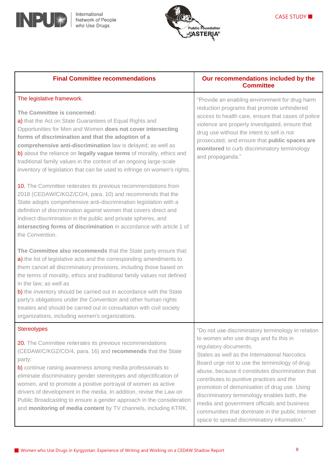



| <b>Final Committee recommendations</b>                                                                                                                                                                                                                                                                                                                                                                                                                                                                                                                                                   | Our recommendations included by the<br><b>Committee</b>                                                                                                                                                                                                                                                                                                                                                                                                                                                                                                                      |
|------------------------------------------------------------------------------------------------------------------------------------------------------------------------------------------------------------------------------------------------------------------------------------------------------------------------------------------------------------------------------------------------------------------------------------------------------------------------------------------------------------------------------------------------------------------------------------------|------------------------------------------------------------------------------------------------------------------------------------------------------------------------------------------------------------------------------------------------------------------------------------------------------------------------------------------------------------------------------------------------------------------------------------------------------------------------------------------------------------------------------------------------------------------------------|
| The legislative framework.<br>The Committee is concerned:<br>a) that the Act on State Guarantees of Equal Rights and<br>Opportunities for Men and Women does not cover intersecting<br>forms of discrimination and that the adoption of a<br>comprehensive anti-discrimination law is delayed; as well as<br>b) about the reliance on legally vague terms of morality, ethics and<br>traditional family values in the context of an ongoing large-scale<br>inventory of legislation that can be used to infringe on women's rights.                                                      | "Provide an enabling environment for drug harm<br>reduction programs that promote unhindered<br>access to health care, ensure that cases of police<br>violence are properly investigated, ensure that<br>drug use without the intent to sell is not<br>prosecuted, and ensure that public spaces are<br>monitored to curb discriminatory terminology<br>and propaganda."                                                                                                                                                                                                     |
| 10. The Committee reiterates its previous recommendations from<br>2018 (CEDAW/C/KGZ/CO/4, para. 10) and recommends that the<br>State adopts comprehensive anti-discrimination legislation with a<br>definition of discrimination against women that covers direct and<br>indirect discrimination in the public and private spheres, and<br>intersecting forms of discrimination in accordance with article 1 of<br>the Convention.                                                                                                                                                       |                                                                                                                                                                                                                                                                                                                                                                                                                                                                                                                                                                              |
| The Committee also recommends that the State party ensure that:<br>a) the list of legislative acts and the corresponding amendments to<br>them cancel all discriminatory provisions, including those based on<br>the terms of morality, ethics and traditional family values not defined<br>in the law; as well as<br>b) the inventory should be carried out in accordance with the State<br>party's obligations under the Convention and other human rights<br>treaties and should be carried out in consultation with civil society<br>organizations, including women's organizations. |                                                                                                                                                                                                                                                                                                                                                                                                                                                                                                                                                                              |
| <b>Stereotypes</b><br>20. The Committee reiterates its previous recommendations<br>(CEDAW/C/KGZ/CO/4, para. 16) and recommends that the State<br>party:<br>b) continue raising awareness among media professionals to<br>eliminate discriminatory gender stereotypes and objectification of<br>women, and to promote a positive portrayal of women as active<br>drivers of development in the media. In addition, revise the Law on<br>Public Broadcasting to ensure a gender approach in the consideration<br>and monitoring of media content by TV channels, including KTRK.           | "Do not use discriminatory terminology in relation<br>to women who use drugs and fix this in<br>regulatory documents.<br>States as well as the International Narcotics<br>Board urge not to use the terminology of drug<br>abuse, because it constitutes discrimination that<br>contributes to punitive practices and the<br>promotion of demonisation of drug use. Using<br>discriminatory terminology enables both, the<br>media and government officials and business<br>communities that dominate in the public Internet<br>space to spread discriminatory information." |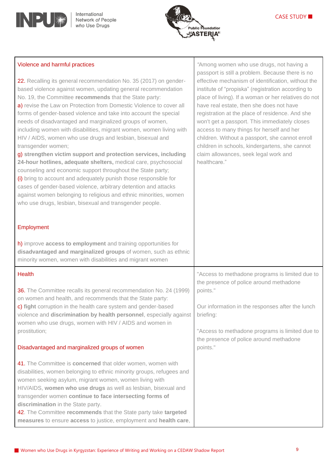

Violence and harmful practices



*"*Among women who use drugs, not having a passport is still a problem. Because there is no

#### 22. Recalling its general recommendation No. 35 (2017) on genderbased violence against women, updating general recommendation No. 19, the Committee **recommends** that the State party: a) revise the Law on Protection from Domestic Violence to cover all forms of gender-based violence and take into account the special needs of disadvantaged and marginalized groups of women, including women with disabilities, migrant women, women living with HIV / AIDS, women who use drugs and lesbian, bisexual and transgender women; g) **strengthen victim support and protection services, including 24-hour hotlines, adequate shelters,** medical care, psychosocial counseling and economic support throughout the State party; (i) bring to account and adequately punish those responsible for cases of gender-based violence, arbitrary detention and attacks against women belonging to religious and ethnic minorities, women who use drugs, lesbian, bisexual and transgender people. Employment h) improve **access to employment** and training opportunities for **disadvantaged and marginalized groups** of women, such as ethnic minority women, women with disabilities and migrant women effective mechanism of identification, without the institute of "propiska" (registration according to place of living). If a woman or her relatives do not have real estate, then she does not have registration at the place of residence. And she won't get a passport. This immediately closes access to many things for herself and her children. Without a passport, she cannot enroll children in schools, kindergartens, she cannot claim allowances, seek legal work and healthcare." **Health** 36. The Committee recalls its general recommendation No. 24 (1999) on women and health, and recommends that the State party: c) **fight** corruption in the health care system and gender-based violence and **discrimination by health personnel**, especially against women who use drugs, women with HIV / AIDS and women in prostitution; Disadvantaged and marginalized groups of women 41. The Committee is **concerned** that older women, women with disabilities, women belonging to ethnic minority groups, refugees and women seeking asylum, migrant women, women living with "Access to methadone programs is limited due to the presence of police around methadone points." Our information in the responses after the lunch briefing: "Access to methadone programs is limited due to the presence of police around methadone points."

HIV/AIDS, **women who use drugs** as well as lesbian, bisexual and transgender women **continue to face intersecting forms of discrimination** in the State party. 42. The Committee **recommends** that the State party take **targeted measures** to ensure **access** to justice, employment and **health care**,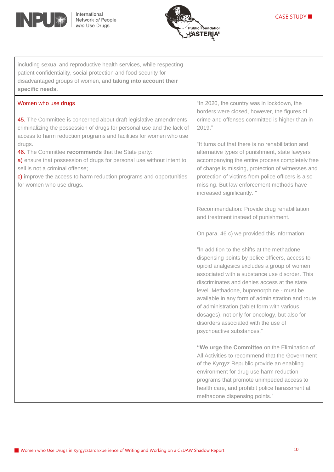



| including sexual and reproductive health services, while respecting<br>patient confidentiality, social protection and food security for<br>disadvantaged groups of women, and taking into account their<br>specific needs.                                                                                                                                                                                                                                                                                             |                                                                                                                                                                                                                                                                                                                                                                                                                                                                                                                                                                                                                                                                                                                                                                                                                                                                                                                                                                                                                                                                                                                                                                                                                                                                                                                                                                                                                                                                                                    |
|------------------------------------------------------------------------------------------------------------------------------------------------------------------------------------------------------------------------------------------------------------------------------------------------------------------------------------------------------------------------------------------------------------------------------------------------------------------------------------------------------------------------|----------------------------------------------------------------------------------------------------------------------------------------------------------------------------------------------------------------------------------------------------------------------------------------------------------------------------------------------------------------------------------------------------------------------------------------------------------------------------------------------------------------------------------------------------------------------------------------------------------------------------------------------------------------------------------------------------------------------------------------------------------------------------------------------------------------------------------------------------------------------------------------------------------------------------------------------------------------------------------------------------------------------------------------------------------------------------------------------------------------------------------------------------------------------------------------------------------------------------------------------------------------------------------------------------------------------------------------------------------------------------------------------------------------------------------------------------------------------------------------------------|
| Women who use drugs<br>45. The Committee is concerned about draft legislative amendments<br>criminalizing the possession of drugs for personal use and the lack of<br>access to harm reduction programs and facilities for women who use<br>drugs.<br>46. The Committee recommends that the State party:<br>a) ensure that possession of drugs for personal use without intent to<br>sell is not a criminal offense;<br>c) improve the access to harm reduction programs and opportunities<br>for women who use drugs. | "In 2020, the country was in lockdown, the<br>borders were closed, however, the figures of<br>crime and offenses committed is higher than in<br>2019."<br>"It turns out that there is no rehabilitation and<br>alternative types of punishment, state lawyers<br>accompanying the entire process completely free<br>of charge is missing, protection of witnesses and<br>protection of victims from police officers is also<br>missing. But law enforcement methods have<br>increased significantly."<br>Recommendation: Provide drug rehabilitation<br>and treatment instead of punishment.<br>On para. 46 c) we provided this information:<br>"In addition to the shifts at the methadone<br>dispensing points by police officers, access to<br>opioid analgesics excludes a group of women<br>associated with a substance use disorder. This<br>discriminates and denies access at the state<br>level. Methadone, buprenorphine - must be<br>available in any form of administration and route<br>of administration (tablet form with various<br>dosages), not only for oncology, but also for<br>disorders associated with the use of<br>psychoactive substances."<br>"We urge the Committee on the Elimination of<br>All Activities to recommend that the Government<br>of the Kyrgyz Republic provide an enabling<br>environment for drug use harm reduction<br>programs that promote unimpeded access to<br>health care, and prohibit police harassment at<br>methadone dispensing points." |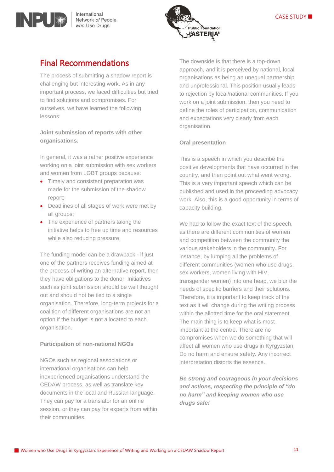

### Final Recommendations

INPU

The process of submitting a shadow report is challenging but interesting work. As in any important process, we faced difficulties but tried to find solutions and compromises. For ourselves, we have learned the following lessons:

#### **Joint submission of reports with other organisations.**

In general, it was a rather positive experience working on a joint submission with sex workers and women from LGBT groups because:

- Timely and consistent preparation was made for the submission of the shadow report;
- Deadlines of all stages of work were met by all groups;
- The experience of partners taking the initiative helps to free up time and resources while also reducing pressure.

The funding model can be a drawback - if just one of the partners receives funding aimed at the process of writing an alternative report, then they have obligations to the donor. Initiatives such as joint submission should be well thought out and should not be tied to a single organisation. Therefore, long-term projects for a coalition of different organisations are not an option if the budget is not allocated to each organisation.

#### **Participation of non-national NGOs**

NGOs such as regional associations or international organisations can help inexperienced organisations understand the CEDAW process, as well as translate key documents in the local and Russian language. They can pay for a translator for an online session, or they can pay for experts from within their communities.

The downside is that there is a top-down approach, and it is perceived by national, local organisations as being an unequal partnership and unprofessional. This position usually leads to rejection by local/national communities. If you work on a joint submission, then you need to define the roles of participation, communication and expectations very clearly from each organisation.

#### **Oral presentation**

This is a speech in which you describe the positive developments that have occurred in the country, and then point out what went wrong. This is a very important speech which can be published and used in the proceeding advocacy work. Also, this is a good opportunity in terms of capacity building.

We had to follow the exact text of the speech, as there are different communities of women and competition between the community the various stakeholders in the community. For instance, by lumping all the problems of different communities (women who use drugs, sex workers, women living with HIV, transgender women) into one heap, we blur the needs of specific barriers and their solutions. Therefore, it is important to keep track of the text as it will change during the writing process within the allotted time for the oral statement. The main thing is to keep what is most important at the centre. There are no compromises when we do something that will affect all women who use drugs in Kyrgyzstan. Do no harm and ensure safety. Any incorrect interpretation distorts the essence.

*Be strong and courageous in your decisions and actions, respecting the principle of "do no harm" and keeping women who use drugs safe!*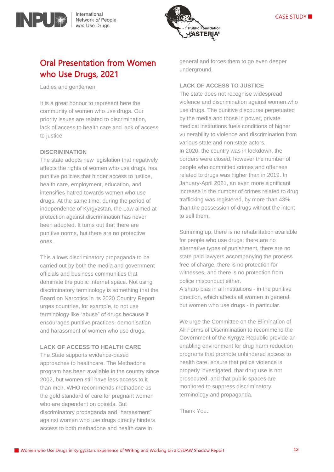



### Oral Presentation from Women who Use Drugs, 2021

Ladies and gentlemen,

It is a great honour to represent here the community of women who use drugs. Our priority issues are related to discrimination, lack of access to health care and lack of access to justice

#### **DISCRIMINATION**

The state adopts new legislation that negatively affects the rights of women who use drugs, has punitive policies that hinder access to justice, health care, employment, education, and intensifies hatred towards women who use drugs. At the same time, during the period of independence of Kyrgyzstan, the Law aimed at protection against discrimination has never been adopted. It turns out that there are punitive norms, but there are no protective ones.

This allows discriminatory propaganda to be carried out by both the media and government officials and business communities that dominate the public Internet space. Not using discriminatory terminology is something that the Board on Narcotics in its 2020 Country Report urges countries, for example, to not use terminology like "abuse" of drugs because it encourages punitive practices, demonisation and harassment of women who use drugs.

#### **LACK OF ACCESS TO HEALTH CARE**

The State supports evidence-based approaches to healthcare. The Methadone program has been available in the country since 2002, but women still have less access to it than men. WHO recommends methadone as the gold standard of care for pregnant women who are dependent on opioids. But discriminatory propaganda and "harassment" against women who use drugs directly hinders access to both methadone and health care in

general and forces them to go even deeper underground.

#### **LACK OF ACCESS TO JUSTICE**

The state does not recognise widespread violence and discrimination against women who use drugs. The punitive discourse perpetuated by the media and those in power, private medical institutions fuels conditions of higher vulnerability to violence and discrimination from various state and non-state actors. In 2020, the country was in lockdown, the borders were closed, however the number of people who committed crimes and offenses related to drugs was higher than in 2019. In January-April 2021, an even more significant increase in the number of crimes related to drug trafficking was registered, by more than 43% than the possession of drugs without the intent to sell them.

Summing up, there is no rehabilitation available for people who use drugs; there are no alternative types of punishment, there are no state paid lawyers accompanying the process free of charge, there is no protection for witnesses, and there is no protection from police misconduct either.

A sharp bias in all institutions - in the punitive direction, which affects all women in general, but women who use drugs - in particular.

We urge the Committee on the Elimination of All Forms of Discrimination to recommend the Government of the Kyrgyz Republic provide an enabling environment for drug harm reduction programs that promote unhindered access to health care, ensure that police violence is properly investigated, that drug use is not prosecuted, and that public spaces are monitored to suppress discriminatory terminology and propaganda.

Thank You.